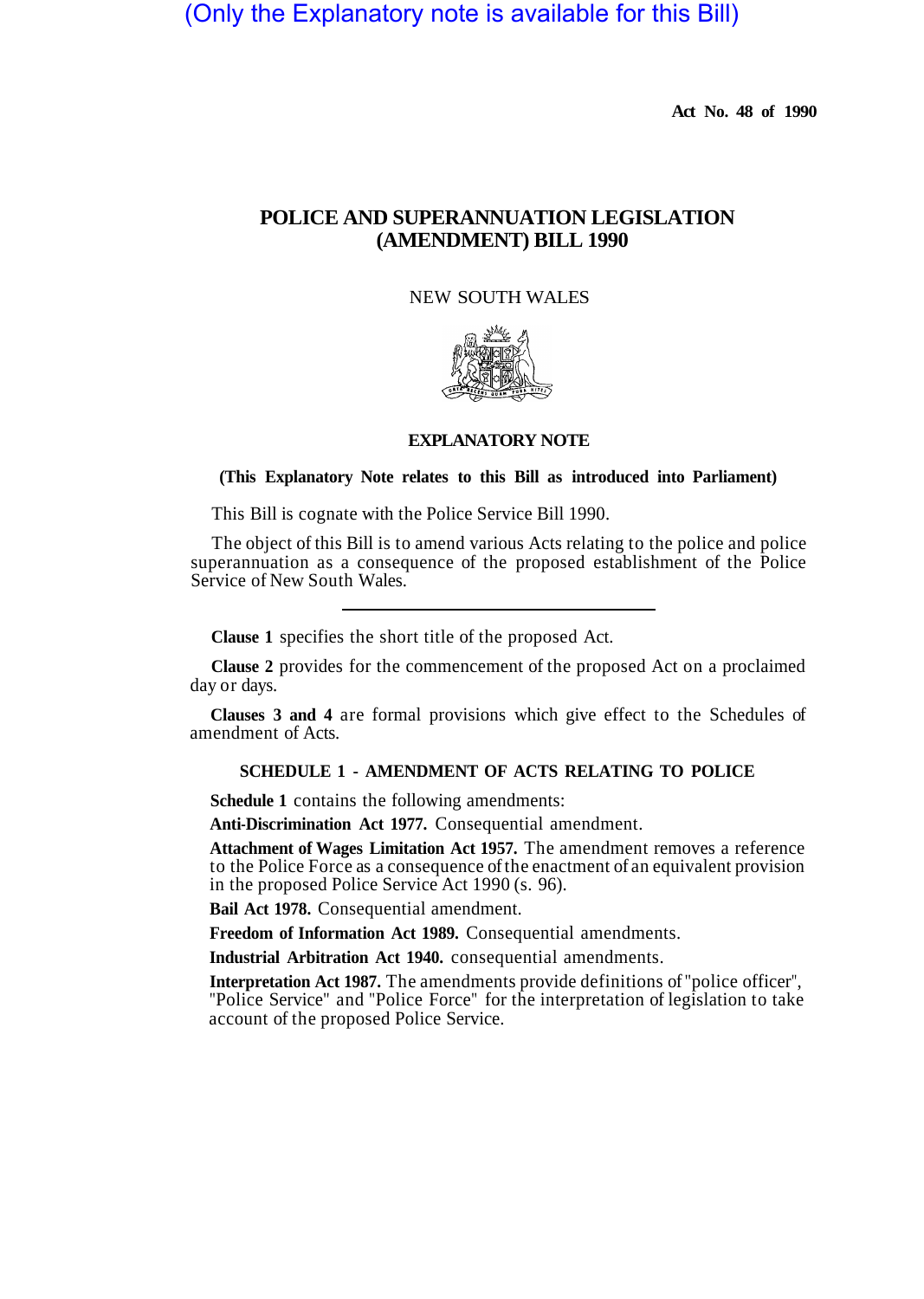# (Only the Explanatory note is available for this Bill)

**Act No. 48 of 1990** 

# **POLICE AND SUPERANNUATION LEGISLATION (AMENDMENT) BILL 1990**

#### NEW SOUTH WALES



#### **EXPLANATORY NOTE**

#### **(This Explanatory Note relates to this Bill as introduced into Parliament)**

This Bill is cognate with the Police Service Bill 1990.

The object of this Bill is to amend various Acts relating to the police and police superannuation as a consequence of the proposed establishment of the Police Service of New South Wales.

**Clause 1** specifies the short title of the proposed Act.

**Clause 2** provides for the commencement of the proposed Act on a proclaimed day or days.

**Clauses 3 and 4** are formal provisions which give effect to the Schedules of amendment of Acts.

### **SCHEDULE 1 - AMENDMENT OF ACTS RELATING TO POLICE**

**Schedule 1** contains the following amendments:

**Anti-Discrimination Act 1977.** Consequential amendment.

**Attachment of Wages Limitation Act 1957.** The amendment removes a reference to the Police Force as a consequence of the enactment of an equivalent provision in the proposed Police Service Act 1990 (s. 96).

**Bail Act 1978.** Consequential amendment.

**Freedom of Information Act 1989.** Consequential amendments.

**Industrial Arbitration Act 1940.** consequential amendments.

**Interpretation Act 1987.** The amendments provide definitions of "police officer", "Police Service" and "Police Force" for the interpretation of legislation to take account of the proposed Police Service.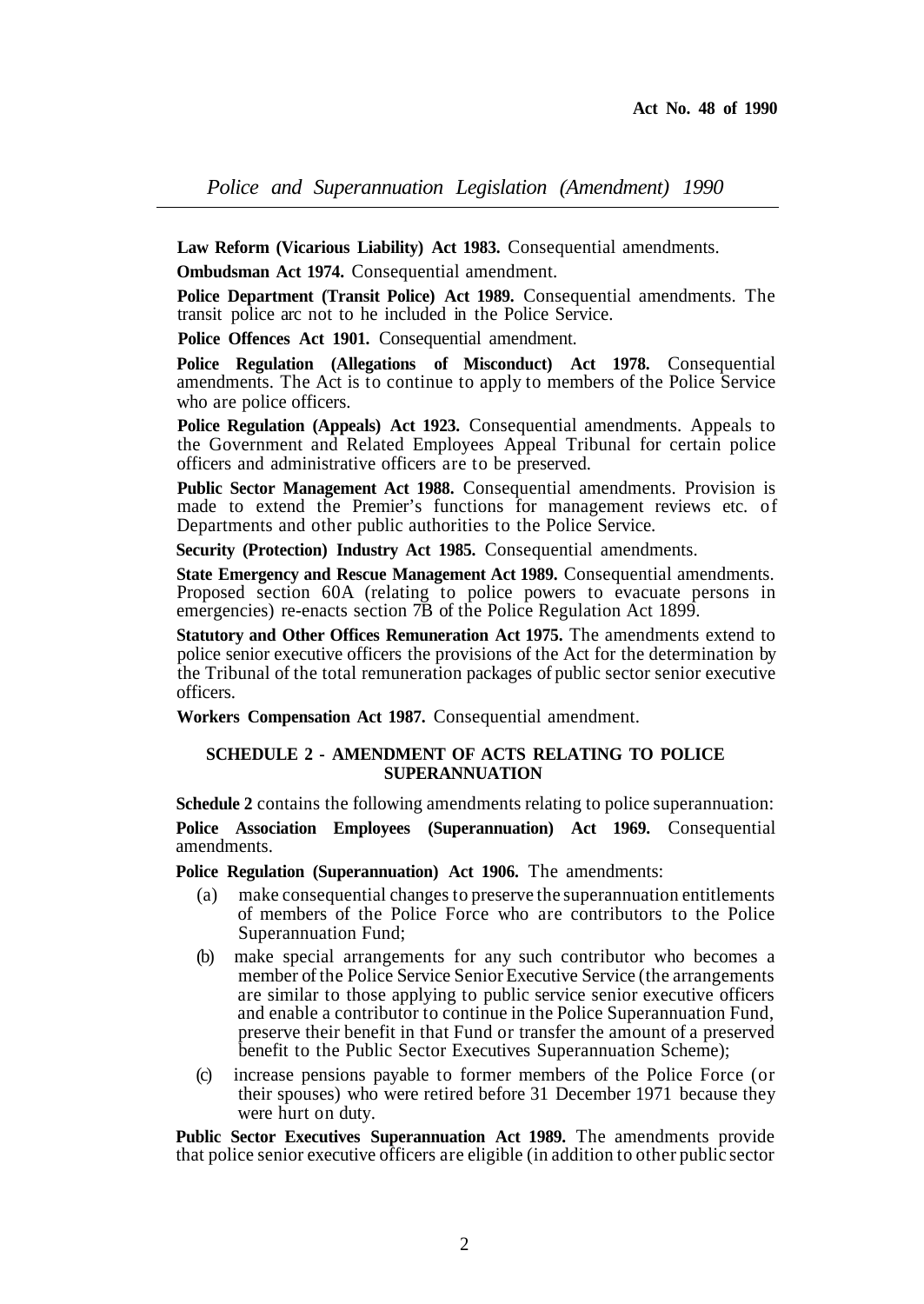**Law Reform (Vicarious Liability) Act 1983.** Consequential amendments.

**Ombudsman Act 1974.** Consequential amendment.

**Police Department (Transit Police) Act 1989.** Consequential amendments. The transit police arc not to he included in the Police Service.

Police Offences Act 1901. Consequential amendment.

**Police Regulation (Allegations of Misconduct) Act 1978.** Consequential amendments. The Act is to continue to apply to members of the Police Service who are police officers.

**Police Regulation (Appeals) Act 1923.** Consequential amendments. Appeals to the Government and Related Employees Appeal Tribunal for certain police officers and administrative officers are to be preserved.

**Public Sector Management Act 1988.** Consequential amendments. Provision is made to extend the Premier's functions for management reviews etc. of Departments and other public authorities to the Police Service.

**Security (Protection) Industry Act 1985.** Consequential amendments.

**State Emergency and Rescue Management Act 1989.** Consequential amendments. Proposed section 60A (relating to police powers to evacuate persons in emergencies) re-enacts section  $\overline{7B}$  of the Police Regulation Act 1899.

**Statutory and Other Offices Remuneration Act 1975.** The amendments extend to police senior executive officers the provisions of the Act for the determination by the Tribunal of the total remuneration packages of public sector senior executive officers.

**Workers Compensation Act 1987.** Consequential amendment.

#### **SCHEDULE 2 - AMENDMENT OF ACTS RELATING TO POLICE SUPERANNUATION**

**Schedule 2** contains the following amendments relating to police superannuation:

**Police Association Employees (Superannuation) Act 1969.** Consequential amendments.

**Police Regulation (Superannuation) Act 1906.** The amendments:

- (a) make consequential changes to preserve the superannuation entitlements of members of the Police Force who are contributors to the Police Superannuation Fund;
- (b) make special arrangements for any such contributor who becomes a member of the Police Service Senior Executive Service (the arrangements are similar to those applying to public service senior executive officers and enable a contributor to continue in the Police Superannuation Fund, preserve their benefit in that Fund or transfer the amount of a preserved benefit to the Public Sector Executives Superannuation Scheme);
- (c) increase pensions payable to former members of the Police Force (or their spouses) who were retired before 31 December 1971 because they were hurt on duty.

Public Sector Executives Superannuation Act 1989. The amendments provide that police senior executive officers are eligible (in addition to other public sector